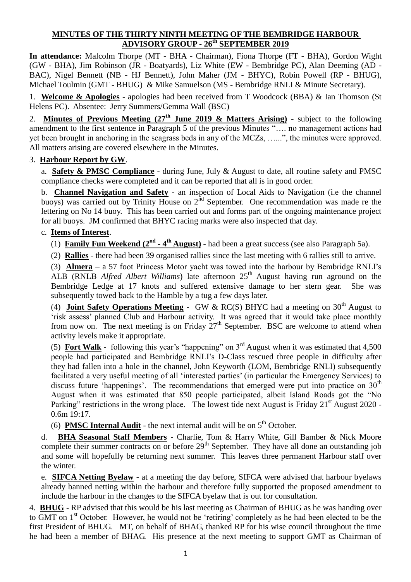#### **MINUTES OF THE THIRTY NINTH MEETING OF THE BEMBRIDGE HARBOUR ADVISORY GROUP - 26th SEPTEMBER 2019**

**In attendance:** Malcolm Thorpe (MT - BHA - Chairman), Fiona Thorpe (FT - BHA), Gordon Wight (GW - BHA), Jim Robinson (JR - Boatyards), Liz White (EW - Bembridge PC), Alan Deeming (AD - BAC), Nigel Bennett (NB - HJ Bennett), John Maher (JM - BHYC), Robin Powell (RP - BHUG), Michael Toulmin (GMT - BHUG) & Mike Samuelson (MS - Bembridge RNLI & Minute Secretary).

1. **Welcome & Apologies** - apologies had been received from T Woodcock (BBA) & Ian Thomson (St Helens PC). Absentee: Jerry Summers/Gemma Wall (BSC)

2. **Minutes of Previous Meeting (27th June 2019 & Matters Arising)** - subject to the following amendment to the first sentence in Paragraph 5 of the previous Minutes "…. no management actions had yet been brought in anchoring in the seagrass beds in any of the MCZs, …...", the minutes were approved. All matters arising are covered elsewhere in the Minutes.

#### 3. **Harbour Report by GW**.

a. **Safety & PMSC Compliance -** during June, July & August to date, all routine safety and PMSC compliance checks were completed and it can be reported that all is in good order.

b. **Channel Navigation and Safety** - an inspection of Local Aids to Navigation (i.e the channel buoys) was carried out by Trinity House on 2<sup>nd</sup> September. One recommendation was made re the lettering on No 14 buoy. This has been carried out and forms part of the ongoing maintenance project for all buoys. JM confirmed that BHYC racing marks were also inspected that day.

#### c. **Items of Interest**.

(1) **Family Fun Weekend (2nd - 4 th August)** - had been a great success (see also Paragraph 5a).

(2) **Rallies** - there had been 39 organised rallies since the last meeting with 6 rallies still to arrive.

(3) **Almera** – a 57 foot Princess Motor yacht was towed into the harbour by Bembridge RNLI's ALB (RNLB *Alfred Albert Williams*) late afternoon 25<sup>th</sup> August having run aground on the Bembridge Ledge at 17 knots and suffered extensive damage to her stern gear. She was subsequently towed back to the Hamble by a tug a few days later.

(4) **Joint Safety Operations Meeting** - GW & RC(S) BHYC had a meeting on  $30<sup>th</sup>$  August to 'risk assess' planned Club and Harbour activity. It was agreed that it would take place monthly from now on. The next meeting is on Friday  $27<sup>th</sup>$  September. BSC are welcome to attend when activity levels make it appropriate.

(5) **Fort Walk** - following this year's "happening" on  $3<sup>rd</sup>$  August when it was estimated that 4,500 people had participated and Bembridge RNLI's D-Class rescued three people in difficulty after they had fallen into a hole in the channel, John Keyworth (LOM, Bembridge RNLI) subsequently facilitated a very useful meeting of all 'interested parties' (in particular the Emergency Services) to discuss future 'happenings'. The recommendations that emerged were put into practice on  $30<sup>th</sup>$ August when it was estimated that 850 people participated, albeit Island Roads got the "No Parking" restrictions in the wrong place. The lowest tide next August is Friday 21<sup>st</sup> August 2020 -0.6m 19:17.

(6) **PMSC Internal Audit** - the next internal audit will be on  $5<sup>th</sup>$  October.

d. **BHA Seasonal Staff Members** - Charlie, Tom & Harry White, Gill Bamber & Nick Moore complete their summer contracts on or before  $29<sup>th</sup>$  September. They have all done an outstanding job and some will hopefully be returning next summer. This leaves three permanent Harbour staff over the winter.

e. **SIFCA Netting Byelaw** - at a meeting the day before, SIFCA were advised that harbour byelaws already banned netting within the harbour and therefore fully supported the proposed amendment to include the harbour in the changes to the SIFCA byelaw that is out for consultation.

4. **BHUG** - RP advised that this would be his last meeting as Chairman of BHUG as he was handing over to GMT on 1<sup>st</sup> October. However, he would not be 'retiring' completely as he had been elected to be the first President of BHUG. MT, on behalf of BHAG, thanked RP for his wise council throughout the time he had been a member of BHAG. His presence at the next meeting to support GMT as Chairman of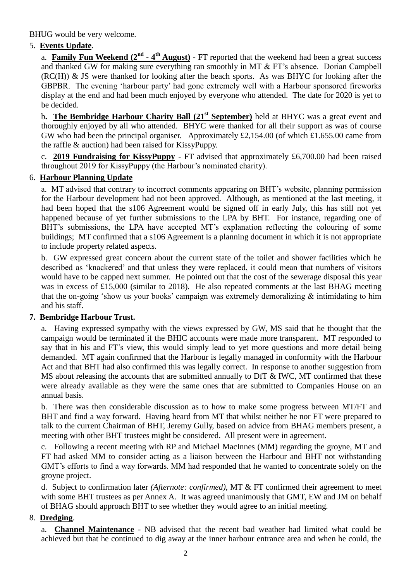BHUG would be very welcome.

#### 5. **Events Update**.

a. **Family Fun Weekend (2<sup>nd</sup> - 4<sup>th</sup> August)** - FT reported that the weekend had been a great success and thanked GW for making sure everything ran smoothly in MT & FT's absence. Dorian Campbell (RC(H)) & JS were thanked for looking after the beach sports. As was BHYC for looking after the GBPBR. The evening 'harbour party' had gone extremely well with a Harbour sponsored fireworks display at the end and had been much enjoyed by everyone who attended. The date for 2020 is yet to be decided.

b**. The Bembridge Harbour Charity Ball (21st September)** held at BHYC was a great event and thoroughly enjoyed by all who attended. BHYC were thanked for all their support as was of course GW who had been the principal organiser. Approximately £2,154.00 (of which £1.655.00 came from the raffle & auction) had been raised for KissyPuppy.

c. **2019 Fundraising for KissyPuppy** - FT advised that approximately £6,700.00 had been raised throughout 2019 for KissyPuppy (the Harbour's nominated charity).

#### 6. **Harbour Planning Update**

a. MT advised that contrary to incorrect comments appearing on BHT's website, planning permission for the Harbour development had not been approved. Although, as mentioned at the last meeting, it had been hoped that the s106 Agreement would be signed off in early July, this has still not yet happened because of yet further submissions to the LPA by BHT. For instance, regarding one of BHT's submissions, the LPA have accepted MT's explanation reflecting the colouring of some buildings; MT confirmed that a s106 Agreement is a planning document in which it is not appropriate to include property related aspects.

b. GW expressed great concern about the current state of the toilet and shower facilities which he described as 'knackered' and that unless they were replaced, it could mean that numbers of visitors would have to be capped next summer. He pointed out that the cost of the sewerage disposal this year was in excess of £15,000 (similar to 2018). He also repeated comments at the last BHAG meeting that the on-going 'show us your books' campaign was extremely demoralizing  $\&$  intimidating to him and his staff.

#### **7. Bembridge Harbour Trust.**

a. Having expressed sympathy with the views expressed by GW, MS said that he thought that the campaign would be terminated if the BHIC accounts were made more transparent. MT responded to say that in his and FT's view, this would simply lead to yet more questions and more detail being demanded. MT again confirmed that the Harbour is legally managed in conformity with the Harbour Act and that BHT had also confirmed this was legally correct. In response to another suggestion from MS about releasing the accounts that are submitted annually to DfT & IWC, MT confirmed that these were already available as they were the same ones that are submitted to Companies House on an annual basis.

b. There was then considerable discussion as to how to make some progress between MT/FT and BHT and find a way forward. Having heard from MT that whilst neither he nor FT were prepared to talk to the current Chairman of BHT, Jeremy Gully, based on advice from BHAG members present, a meeting with other BHT trustees might be considered. All present were in agreement.

c. Following a recent meeting with RP and Michael MacInnes (MM) regarding the groyne, MT and FT had asked MM to consider acting as a liaison between the Harbour and BHT not withstanding GMT's efforts to find a way forwards. MM had responded that he wanted to concentrate solely on the groyne project.

d. Subject to confirmation later *(Afternote: confirmed),* MT & FT confirmed their agreement to meet with some BHT trustees as per Annex A. It was agreed unanimously that GMT, EW and JM on behalf of BHAG should approach BHT to see whether they would agree to an initial meeting.

#### 8. **Dredging**.

a. **Channel Maintenance** - NB advised that the recent bad weather had limited what could be achieved but that he continued to dig away at the inner harbour entrance area and when he could, the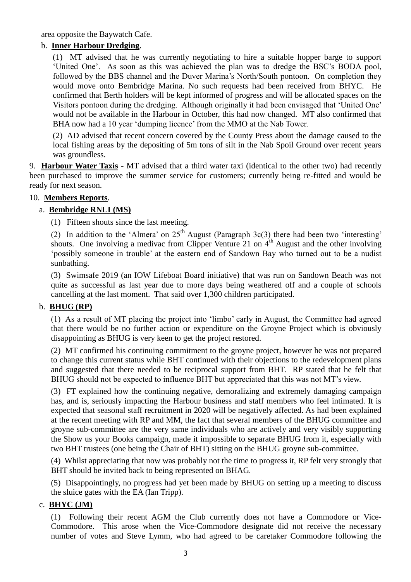area opposite the Baywatch Cafe.

#### b. **Inner Harbour Dredging**.

(1) MT advised that he was currently negotiating to hire a suitable hopper barge to support 'United One'. As soon as this was achieved the plan was to dredge the BSC's BODA pool, followed by the BBS channel and the Duver Marina's North/South pontoon. On completion they would move onto Bembridge Marina. No such requests had been received from BHYC. He confirmed that Berth holders will be kept informed of progress and will be allocated spaces on the Visitors pontoon during the dredging. Although originally it had been envisaged that 'United One' would not be available in the Harbour in October, this had now changed. MT also confirmed that BHA now had a 10 year 'dumping licence' from the MMO at the Nab Tower.

(2) AD advised that recent concern covered by the County Press about the damage caused to the local fishing areas by the depositing of 5m tons of silt in the Nab Spoil Ground over recent years was groundless.

9. **Harbour Water Taxis** - MT advised that a third water taxi (identical to the other two) had recently been purchased to improve the summer service for customers; currently being re-fitted and would be ready for next season.

#### 10. **Members Reports**.

#### a. **Bembridge RNLI (MS)**

(1) Fifteen shouts since the last meeting.

(2) In addition to the 'Almera' on  $25<sup>th</sup>$  August (Paragraph 3c(3) there had been two 'interesting' shouts. One involving a medivac from Clipper Venture 21 on  $4<sup>th</sup>$  August and the other involving 'possibly someone in trouble' at the eastern end of Sandown Bay who turned out to be a nudist sunbathing.

(3) Swimsafe 2019 (an IOW Lifeboat Board initiative) that was run on Sandown Beach was not quite as successful as last year due to more days being weathered off and a couple of schools cancelling at the last moment. That said over 1,300 children participated.

#### b. **BHUG (RP)**

(1) As a result of MT placing the project into 'limbo' early in August, the Committee had agreed that there would be no further action or expenditure on the Groyne Project which is obviously disappointing as BHUG is very keen to get the project restored.

(2) MT confirmed his continuing commitment to the groyne project, however he was not prepared to change this current status while BHT continued with their objections to the redevelopment plans and suggested that there needed to be reciprocal support from BHT. RP stated that he felt that BHUG should not be expected to influence BHT but appreciated that this was not MT's view.

(3) FT explained how the continuing negative, demoralizing and extremely damaging campaign has, and is, seriously impacting the Harbour business and staff members who feel intimated. It is expected that seasonal staff recruitment in 2020 will be negatively affected. As had been explained at the recent meeting with RP and MM, the fact that several members of the BHUG committee and groyne sub-committee are the very same individuals who are actively and very visibly supporting the Show us your Books campaign, made it impossible to separate BHUG from it, especially with two BHT trustees (one being the Chair of BHT) sitting on the BHUG groyne sub-committee.

(4) Whilst appreciating that now was probably not the time to progress it, RP felt very strongly that BHT should be invited back to being represented on BHAG.

(5) Disappointingly, no progress had yet been made by BHUG on setting up a meeting to discuss the sluice gates with the EA (Ian Tripp).

#### c. **BHYC (JM)**

(1) Following their recent AGM the Club currently does not have a Commodore or Vice-Commodore. This arose when the Vice-Commodore designate did not receive the necessary number of votes and Steve Lymm, who had agreed to be caretaker Commodore following the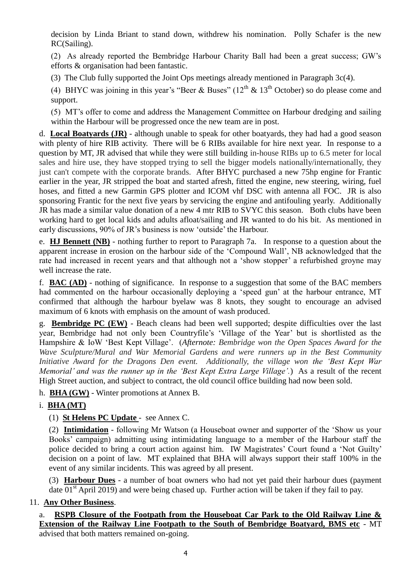decision by Linda Briant to stand down, withdrew his nomination. Polly Schafer is the new RC(Sailing).

(2) As already reported the Bembridge Harbour Charity Ball had been a great success; GW's efforts & organisation had been fantastic.

(3) The Club fully supported the Joint Ops meetings already mentioned in Paragraph 3c(4).

(4) BHYC was joining in this year's "Beer & Buses" ( $12<sup>th</sup>$  &  $13<sup>th</sup>$  October) so do please come and support.

(5) MT's offer to come and address the Management Committee on Harbour dredging and sailing within the Harbour will be progressed once the new team are in post.

d. **Local Boatyards (JR)** - although unable to speak for other boatyards, they had had a good season with plenty of hire RIB activity. There will be 6 RIBs available for hire next year. In response to a question by MT, JR advised that while they were still building in-house RIBs up to 6.5 meter for local sales and hire use, they have stopped trying to sell the bigger models nationally/internationally, they just can't compete with the corporate brands. After BHYC purchased a new 75hp engine for Frantic earlier in the year, JR stripped the boat and started afresh, fitted the engine, new steering, wiring, fuel hoses, and fitted a new Garmin GPS plotter and ICOM vhf DSC with antenna all FOC. JR is also sponsoring Frantic for the next five years by servicing the engine and antifouling yearly. Additionally JR has made a similar value donation of a new 4 mtr RIB to SVYC this season. Both clubs have been working hard to get local kids and adults afloat/sailing and JR wanted to do his bit. As mentioned in early discussions, 90% of JR's business is now 'outside' the Harbour.

e. **HJ Bennett (NB)** - nothing further to report to Paragraph 7a. In response to a question about the apparent increase in erosion on the harbour side of the 'Compound Wall', NB acknowledged that the rate had increased in recent years and that although not a 'show stopper' a refurbished groyne may well increase the rate.

f. **BAC (AD)** - nothing of significance. In response to a suggestion that some of the BAC members had commented on the harbour occasionally deploying a 'speed gun' at the harbour entrance, MT confirmed that although the harbour byelaw was 8 knots, they sought to encourage an advised maximum of 6 knots with emphasis on the amount of wash produced.

g. **Bembridge PC (EW)** - Beach cleans had been well supported; despite difficulties over the last year, Bembridge had not only been Countryfile's 'Village of the Year' but is shortlisted as the Hampshire & IoW 'Best Kept Village'. (*Afternote: Bembridge won the Open Spaces Award for the Wave Sculpture/Mural and War Memorial Gardens and were runners up in the Best Community Initiative Award for the Dragons Den event. Additionally, the village won the 'Best Kept War Memorial' and was the runner up in the 'Best Kept Extra Large Village'.*) As a result of the recent High Street auction, and subject to contract, the old council office building had now been sold.

h. **BHA (GW)** - Winter promotions at Annex B.

#### i. **BHA (MT)**

#### (1) **St Helens PC Update** - see Annex C.

(2) **Intimidation** - following Mr Watson (a Houseboat owner and supporter of the 'Show us your Books' campaign) admitting using intimidating language to a member of the Harbour staff the police decided to bring a court action against him. IW Magistrates' Court found a 'Not Guilty' decision on a point of law. MT explained that BHA will always support their staff 100% in the event of any similar incidents. This was agreed by all present.

(3) **Harbour Dues** - a number of boat owners who had not yet paid their harbour dues (payment date  $01<sup>st</sup>$  April 2019) and were being chased up. Further action will be taken if they fail to pay.

#### 11. **Any Other Business**.

a. **RSPB Closure of the Footpath from the Houseboat Car Park to the Old Railway Line & Extension of the Railway Line Footpath to the South of Bembridge Boatyard, BMS etc** - MT advised that both matters remained on-going.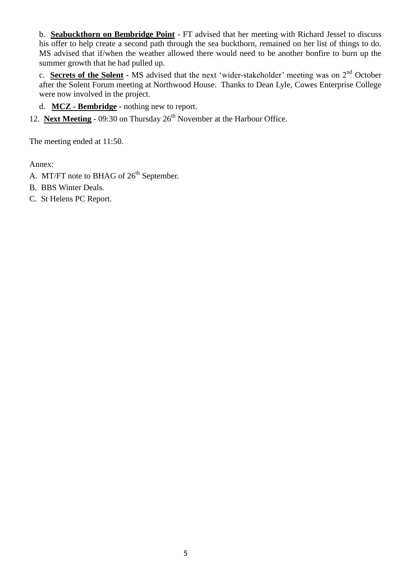b. **Seabuckthorn on Bembridge Point** - FT advised that her meeting with Richard Jessel to discuss his offer to help create a second path through the sea buckthorn, remained on her list of things to do. MS advised that if/when the weather allowed there would need to be another bonfire to burn up the summer growth that he had pulled up.

c. **Secrets of the Solent** - MS advised that the next 'wider-stakeholder' meeting was on 2nd October after the Solent Forum meeting at Northwood House. Thanks to Dean Lyle, Cowes Enterprise College were now involved in the project.

d. **MCZ - Bembridge -** nothing new to report.

12. **Next Meeting** - 09:30 on Thursday  $26<sup>th</sup>$  November at the Harbour Office.

The meeting ended at 11:50.

Annex:

- A. MT/FT note to BHAG of 26<sup>th</sup> September.
- B. BBS Winter Deals.
- C. St Helens PC Report.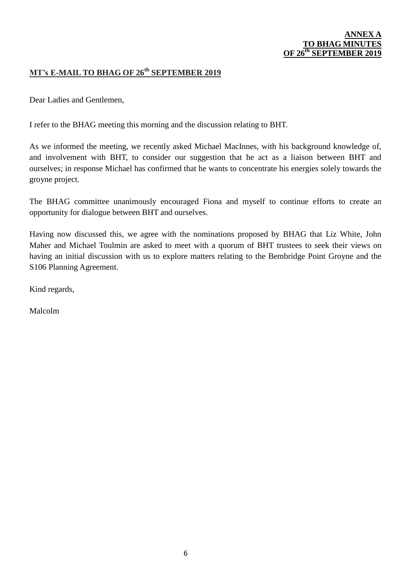#### **ANNEX A TO BHAG M OF 26<sup>th</sup> SEPTEMBER**

#### **MT's E-MAIL TO BHAG OF 26th SEPTEMBER 2019**

Dear Ladies and Gentlemen,

I refer to the BHAG meeting this morning and the discussion relating to BHT.

As we informed the meeting, we recently asked Michael MacInnes, with his background knowledge of, and involvement with BHT, to consider our suggestion that he act as a liaison between BHT and ourselves; in response Michael has confirmed that he wants to concentrate his energies solely towards the groyne project.

The BHAG committee unanimously encouraged Fiona and myself to continue efforts to create an opportunity for dialogue between BHT and ourselves.

Having now discussed this, we agree with the nominations proposed by BHAG that Liz White, John Maher and Michael Toulmin are asked to meet with a quorum of BHT trustees to seek their views on having an initial discussion with us to explore matters relating to the Bembridge Point Groyne and the S106 Planning Agreement.

Kind regards,

Malcolm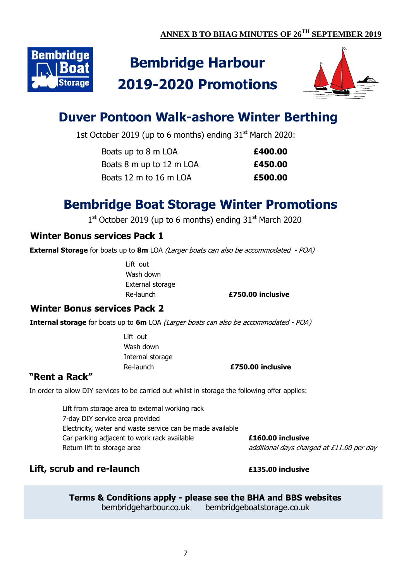

# **Bembridge Harbour 2019-2020 Promotions**



# **Duver Pontoon Walk-ashore Winter Berthing**

1st October 2019 (up to 6 months) ending 31<sup>st</sup> March 2020:

| Boats up to 8 m LOA      | £400.00 |
|--------------------------|---------|
| Boats 8 m up to 12 m LOA | £450.00 |
| Boats 12 m to 16 m LOA   | £500.00 |

# **Bembridge Boat Storage Winter Promotions**

 $1<sup>st</sup>$  October 2019 (up to 6 months) ending 31 $<sup>st</sup>$  March 2020</sup>

## **Winter Bonus services Pack 1**

**External Storage** for boats up to 8m LOA *(Larger boats can also be accommodated - POA)* 

Lift out Wash down External storage

Re-launch **£750.00 inclusive**

### **Winter Bonus services Pack 2**

**Internal storage** for boats up to **6m** LOA (Larger boats can also be accommodated - POA)

Lift out Wash down Internal storage

Re-launch **£750.00 inclusive**

### **"Rent a Rack"**

In order to allow DIY services to be carried out whilst in storage the following offer applies:

Lift from storage area to external working rack 7-day DIY service area provided Electricity, water and waste service can be made available Car parking adjacent to work rack available **£160.00 inclusive** Return lift to storage area and additional days charged at £11.00 per day

# **Lift, scrub and re-launch £135.00 inclusive**

**Terms & Conditions apply - please see the BHA and BBS websites**

bembridgeharbour.co.uk bembridgeboatstorage.co.uk